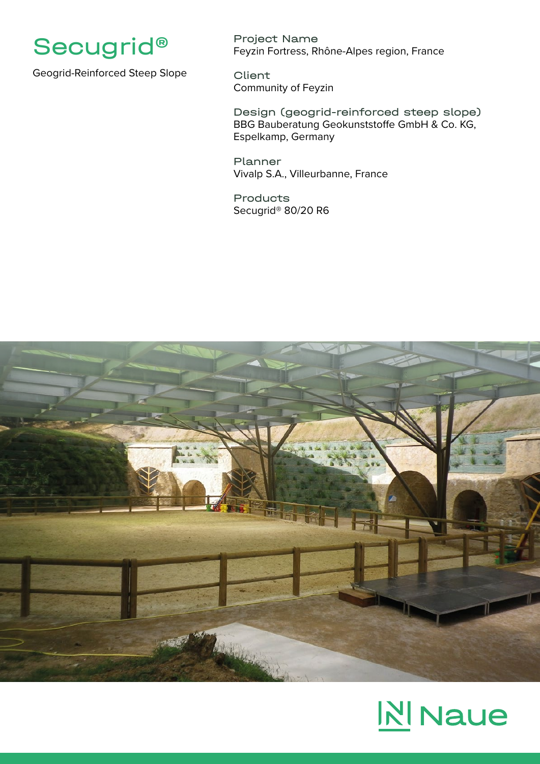

Geogrid-Reinforced Steep Slope

Project Name Feyzin Fortress, Rhône-Alpes region, France

Client Community of Feyzin

Design (geogrid-reinforced steep slope) BBG Bauberatung Geokunststoffe GmbH & Co. KG, Espelkamp, Germany

Planner Vivalp S.A., Villeurbanne, France

Products Secugrid® 80/20 R6



## **N** Naue